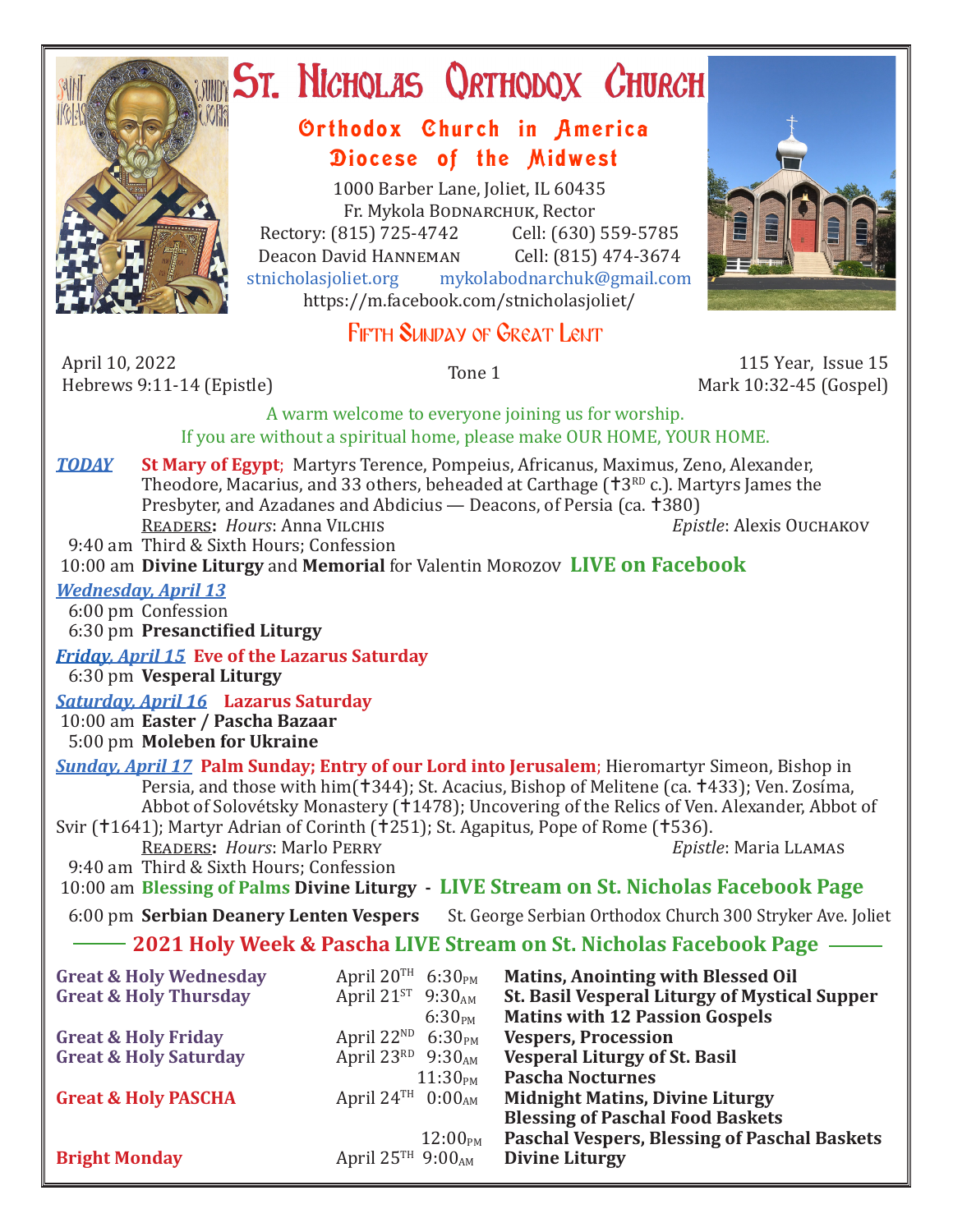

# ST. NICHOLAS QRTHODOX CHURCH

### Orthodox Church in America Diocese of the Midwest

1000 Barber Lane, Joliet, IL 60435 Fr. Mykola Bodnarchuk, Rector<br>315) 725-4742 Cell: (630) 559-5785 Rectory: (815) 725-4742 Cell: (630) 559-5785<br>Deacon David HANNEMAN Cell: (815) 474-3674 Deacon David Hanneman<br>stnicholasioliet.org mvk mykolabodnarchuk@gmail.com https://m.facebook.com/stnicholasjoliet/

## FIFTH SUNDAY OF GREAT LENT

April 10, 2022 April 10, 2022<br>
Hebrews 9:11-14 (Epistle) 115 Year, Issue 15<br>
Hebrews 9:11-14 (Epistle) 115 Year, Issue 15

Mark 10:32-45 (Gospel)

#### A warm welcome to everyone joining us for worship. If you are without a spiritual home, please make OUR HOME, YOUR HOME.

*TODAY* **St Mary of Egypt**; Martyrs Terence, Pompeius, Africanus, Maximus, Zeno, Alexander, Theodore, Macarius, and 33 others, beheaded at Carthage  $(13^{RD} c.)$ . Martyrs James the Presbyter, and Azadanes and Abdicius — Deacons, of Persia (ca. †380)<br>READERS: Hours: Anna VILCHIS FREADERS: Equipment Exercise of Persia (Ca. †380) READERS: *Hours*: Anna VILCHIS 9:40 am Third & Sixth Hours; Confession

10:00 am **Divine Liturgy** and **Memorial** for Valentin Morozov **LIVE on Facebook**

#### *Wednesday, April 13*

 6:00 pm Confession 6:30 pm **Presanctified Liturgy**

*Friday, April 15* **Eve of the Lazarus Saturday**

6:30 pm **Vesperal Liturgy**

*Saturday, April 16* **Lazarus Saturday**

 10:00 am **Easter / Pascha Bazaar** 5:00 pm **Moleben for Ukraine**

*Sunday, April 17* **Palm Sunday; Entry of our Lord into Jerusalem**; Hieromartyr Simeon, Bishop in Persia, and those with him(†344); St. Acacius, Bishop of Melitene (ca. †433); Ven. Zosíma, Abbot of Solovétsky Monastery (†1478); Uncovering of the Relics of Ven. Alexander, Abbot of Svir (†1641); Martyr Adrian of Corinth (†251); St. Agapitus, Pope of Rome (†536).<br>READERS: Hours: Marlo PERRY Epistle: Maria LLAMAS

**READERS: Hours: Marlo PERRY** 

 9:40 am Third & Sixth Hours; Confession 10:00 am **Blessing of Palms Divine Liturgy - LIVE Stream on St. Nicholas Facebook Page**

6:00 pm **Serbian Deanery Lenten Vespers** St. George Serbian Orthodox Church 300 Stryker Ave. Joliet

#### **2021 Holy Week & Pascha LIVE Stream on St. Nicholas Facebook Page**

| April $20^{TH}$ 6:30 <sub>PM</sub>        | <b>Matins, Anointing with Blessed Oil</b>           |
|-------------------------------------------|-----------------------------------------------------|
| April 21 $^{ST}$ 9:30 <sub>AM</sub>       | St. Basil Vesperal Liturgy of Mystical Supper       |
| 6:30 <sub>PM</sub>                        | <b>Matins with 12 Passion Gospels</b>               |
| April 22 <sup>ND</sup> 6:30 <sub>PM</sub> | <b>Vespers, Procession</b>                          |
| April 23RD $9:30_{AM}$                    | <b>Vesperal Liturgy of St. Basil</b>                |
| 11:30 <sub>PM</sub>                       | <b>Pascha Nocturnes</b>                             |
| April 24 <sup>TH</sup> $0:00_{AM}$        | <b>Midnight Matins, Divine Liturgy</b>              |
|                                           | <b>Blessing of Paschal Food Baskets</b>             |
| $12:00_{\rm PM}$                          | <b>Paschal Vespers, Blessing of Paschal Baskets</b> |
| April $25^{TH}$ 9:00 <sub>AM</sub>        | <b>Divine Liturgy</b>                               |
|                                           |                                                     |